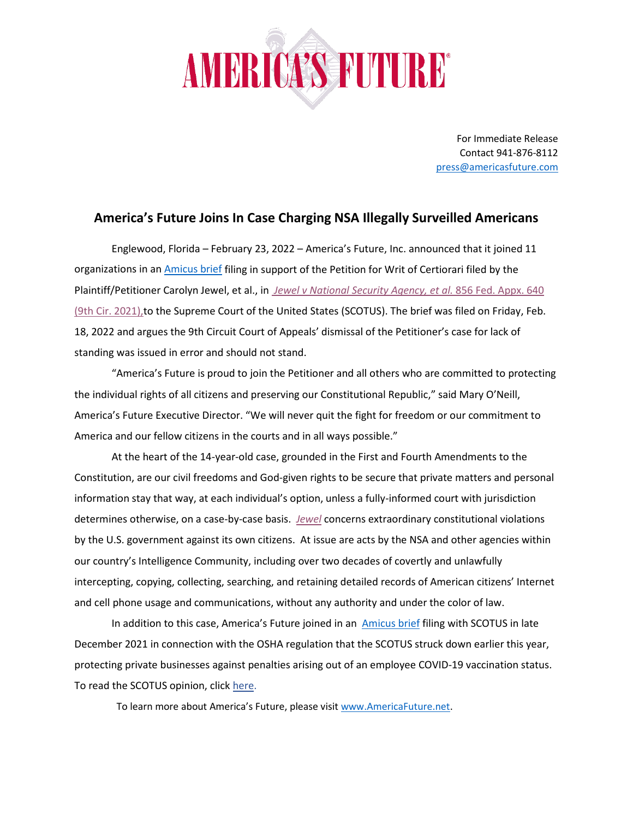

For Immediate Release Contact 941-876-8112 [press@americasfuture.com](mailto:press@americasfuture.com)

## **America's Future Joins In Case Charging NSA Illegally Surveilled Americans**

Englewood, Florida – February 23, 2022 – America's Future, Inc. announced that it joined 11 organizations in an [Amicus brief](https://www.supremecourt.gov/DocketPDF/21/21-1017/214585/20220218180423390_21-1017%20Jewel%20SCOTUS%20amicus%20brief.pdf) filing in support of the Petition for Writ of Certiorari filed by the Plaintiff/Petitioner Carolyn Jewel, et al., in *[Jewel v National Security Agency, et al.](https://cdn.ca9.uscourts.gov/datastore/memoranda/2021/08/17/19-16066.pdf)* 856 Fed. Appx. 640 [\(9th Cir. 2021\),t](https://cdn.ca9.uscourts.gov/datastore/memoranda/2021/08/17/19-16066.pdf)o the Supreme Court of the United States (SCOTUS). The brief was filed on Friday, Feb. 18, 2022 and argues the 9th Circuit Court of Appeals' dismissal of the Petitioner's case for lack of standing was issued in error and should not stand.

"America's Future is proud to join the Petitioner and all others who are committed to protecting the individual rights of all citizens and preserving our Constitutional Republic," said Mary O'Neill, America's Future Executive Director. "We will never quit the fight for freedom or our commitment to America and our fellow citizens in the courts and in all ways possible."

At the heart of the 14-year-old case, grounded in the First and Fourth Amendments to the Constitution, are our civil freedoms and God-given rights to be secure that private matters and personal information stay that way, at each individual's option, unless a fully-informed court with jurisdiction determines otherwise, on a case-by-case basis. *[Jewel](https://cdn.ca9.uscourts.gov/datastore/memoranda/2021/08/17/19-16066.pdf)* concerns extraordinary constitutional violations by the U.S. government against its own citizens. At issue are acts by the NSA and other agencies within our country's Intelligence Community, including over two decades of covertly and unlawfully intercepting, copying, collecting, searching, and retaining detailed records of American citizens' Internet and cell phone usage and communications, without any authority and under the color of law.

In addition to this case, America's Future joined in an **[Amicus brief](https://www.supremecourt.gov/DocketPDF/21/21A244/206988/20211230151458044_NFIB%20v.%20OSHA%20amicus%20brief.pdf) filing with SCOTUS** in late December 2021 in connection with the OSHA regulation that the SCOTUS struck down earlier this year, protecting private businesses against penalties arising out of an employee COVID-19 vaccination status. To read the SCOTUS opinion, click [here.](https://www.supremecourt.gov/opinions/21pdf/21a244_hgci.pdf)

To learn more about America's Future, please visi[t www.AmericaFuture.net.](http://www.americafuture.net/)